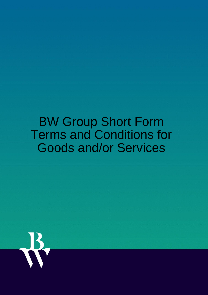# BW Group Short Form Terms and Conditions for Goods and/or Services

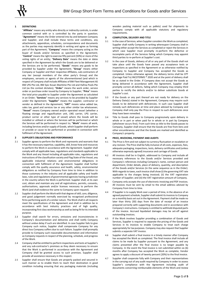

## **1 DEFINITIONS**

"**Affiliate**" means any entity who directly or indirectly controls, is under common control with or is controlled by the party in question; "**Agreement**" means the Order entered into by and between Company and Supplier, and shall include these terms and conditions, any attachments, appendices, schedules, correspondence and documents as the parties may expressly identify in writing and agree as forming part of the Agreement; "**Company**" means the company acting as the buyer of Goods and/or Services as specified in the Agreement; "**Control**" means the right to exercise fifty percent (50%) or more of the voting rights of an entity; "**Delivery Date**" means the date or dates specified in the Agreement by which the Goods are to be delivered or the Services are to be performed; "**Goods**" means any goods to be provided by Supplier under the Agreement; "**Group**" means either Company or Supplier and their respective Affiliates, sub-contractors of any tier (except members of the other party's Group) and the employees, servants or agents of the aforementioned (and which in respect of Company shall include Affiliates of BW Fleet Management AS BW LPG Pte Ltd, BW Epic Kosan Maritime Pte Ltd and Hafnia Pools Pte Ltd (as the context dictates); "**Order**" means the work order, service order or purchase order issued by Company to Supplier; "**Price**" means the total price payable to Supplier under the Agreement as calculated in an Order; "**Services**" means any services to be provided by Supplier under the Agreement; "**Supplier**" means the supplier, contractor or vendor as defined in the Agreement; "**VAT**" means value added tax, sales tax, good and services tax or any other similar tax whatsoever; "**Vessel**" means Company owned and/or operated vessel (whether a floating storage and regasification unit, LNG carrier, LPG carrier, product carrier or other type of vessel) where the Goods will be installed or utilised or where the Services will be performed or which the Services will be performed in respect to; "**Work**" means all work, including Services and/or supply of Goods, which Supplier shall perform or provide or cause to be performed or provided in connection with fulfilment of the Agreement.

#### **2 SUPPLIER'S OBLIGATIONS AND PERFORMANCE**

- 2.1 Supplier agrees to perform the Work and represents and warrants that it has the necessary expertise, capability, skill, know-how and resources to perform the Work in accordance with the Agreement. Supplier shall comply with all applicable laws, regulations and standards applicable to the Work and any Vessel including all applicable rules, regulations and instructions of the classification society and Flag State of the Vessel, any applicable industrial relations and environmental obligations in connection with fulfilment of the Agreement. Supplier shall further comply with the quality assurance and health, safety, environmental obligations as notified by Company from time to time in addition to those customary in the industry and all applicable safety and health laws, rules and regulations of governmental agencies having jurisdiction in the country where the Work is performed. Supplier shall, at its own cost, obtain and maintain any and all registrations, permits, consents, authorisations, approvals and/or licenses necessary to perform the Work (and shall evidence the same to Company upon request).
- 2.2 Supplier shall perform the Work with that degree of skill, care, diligence, and good judgement normally exercised by recognised professional firms performing work of a similar nature. The Work shall in all respects meet the specifications of the Agreement and shall in addition be in accordance with best industry practices and of high quality, incorporating first class workmanship as well as being fit for its intended purpose.
- 2.3 Supplier shall search for errors, omissions and inconsistencies in Company's documentation and deliveries and shall notify Company without undue delay if such are identified. In case Supplier fails to give Company such notice, Supplier shall compensate Company for any direct loss Company suffers due to such failure. Supplier shall promptly provide to Company such reasonable documentation and information as Company requests in respect of the planning, schedule, and progress of the Work.
- 2.4 Company shall be entitled to perform inspections and tests at Supplier's and any sub-contractor's premises as they deem necessary to ensure that the Work is performed in accordance with the Agreement and Company shall be granted access to such premises. Supplier shall provide all assistance necessary in this respect.
- 2.5 Supplier shall ensure that Goods are properly packed and secured in such manner as to enable them to reach their destination in good condition including ensuring that any packaging materials (including

wooden packing material such as pallets) used for shipments to Company comply with all applicable statutory and regulatory requirements.

#### **3 COMPLETION, DELIVERY AND TITLE**

- 3.1 In the case of Services, when Supplier considers the Work as completed, Supplier shall notify Company in writing whereupon Company shall in writing either accept the Services as completed or reject the Services in which case Supplier must promptly re-perform the defective or incomplete parts of the Services failing which Company may appoint third parties to re-perform at Supplier's cost.
- 3.2 In the case of Goods, delivery of all or any part of the Goods shall not take place until the Goods have passed any acceptance tests or inspections as specified in the Agreement or as otherwise notified by Company to Supplier and Company has accepted the Goods as completed. Unless otherwise agreed, the delivery terms shall be CPT (Carriage Paid To) INCOTERMS ® 2020 and at the point of delivery shall be as stated in the Order. If Company does not accept the Goods as being delivered in accordance with the Agreement, Supplier shall promptly correct all defects, failing which Company may employ third parties to rectify the defects and/or to deliver substitute Goods at Supplier's cost.
- 3.3 If the Goods or any part thereof are not ready for delivery on the Delivery Date(s) stated in the Agreement, Company may require such Goods to be delivered with deficiencies. In such case Supplier shall remedy such deficiencies at time and place advised by Company and Company shall only pay the Price in respect to such deficiencies once they have been remedied.
- 3.4 Title to Goods shall pass to Company progressively upon delivery in whole or in part or when paid for in whole or in part by Company (whichever occurs first). From such time as title to the Goods passes to Company, Supplier shall ensure that the Goods are free from liens and other encumbrances and that the Goods are marked and identified as Company's property.

#### **4 PRICE, INVOICING, PAYMENT AND AUDITS**

- 4.1 The Price is firm and not subject to currency fluctuation or escalation or any revision. The Price shall be fully inclusive of all costs, expenses, fees, adequate packaging, inspections, tests, delivery certificates and (unless otherwise expressly agreed) insurance and carriage of Goods.
- 4.2 All invoices shall be in English, addressed to Company and include all necessary references to the Goods and/or Services provided and Company's references including Company's name, contact person and department, Order details, place of delivery, quantity, and description of the Goods and/or Services (in the same sequence as in the Order). With regards to taxes, each invoice shall show (i) the governing VAT rate applicable to the charges being invoiced; (ii) the VAT registration number of Supplier; and (iii) the VAT registration amount of Company.
- 4.3 Company only accepts the use of electronic invoicing and PDF invoices. All invoices must be sent by email to the email address advised by Company from time to time.
- 4.4 If Supplier is to supply Work over a period of time, in the absence of an agreed payment schedule, Supplier shall submit its invoices to Company on a monthly basis set out in the Agreement. Payment shall be made no later than thirty (30) days from the date of receipt of an invoice prepared correctly with supporting documents and in accordance with Company's instructions. Company is entitled to withhold disputed parts of the invoice. Accrued liquidated damages may be set-off against outstanding invoices.
- 4.5 If the Work involves Supplier providing a combination of Goods and Services, Supplier is required to separate the pricing of the Goods and Services in its invoices to enable Company to treat each charge appropriately for tax purposes. Company may also request that Supplier submits a separate VAT invoice.
- 4.6 Supplier shall submit a final invoice in a timely manner after Company has accepted the Work as completed. The final invoice shall include all claims to be made by Supplier pursuant to the Agreement, and any claims presented after the final invoice is no longer payable by Company. In the event the final invoice is not submitted within six (6) months after Company has accepted the Work as complete, Vendor agrees to apply a discount of twenty percent (20%) to the final invoice.
- 4.7 Supplier shall cooperate fully with Company and their representatives in the carrying out of any audit required by Company in order to assess Supplier's compliance with the Agreement including audit of documents concerning reimbursable elements of the Work and review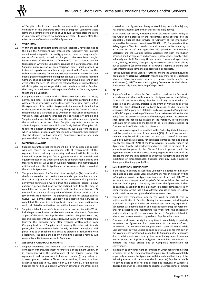of Supplier's books and records, anti-corruption procedures and verification of the ownership structure of Supplier. Company's audit rights shall continue for a period of up to two (2) years after the Work in question was invoiced to Company or three (3) years after the effective date of termination of this Agreement.

## **5 VARIATIONS**

- 5.1 Within the scope of what the parties could reasonably have expected at the time the Agreement was entered into, Company may instruct variations with regard to the quality, quantity, character, design and/or nature of the Work, as well as changes to the completion and/or delivery time of the Work (a "**Variation**"). The Variation will be formalised in writing by Company's issuance of a Variation order, and Supplier, upon receipt of such Variation order, shall proceed as instructed regardless of whether an adjustment to the Price and/or the Delivery Date resulting from or necessitated by the Variation order have been agreed or determined. If Supplier believes a Variation is required Company shall be notified in writing without undue delay (and in any event within fourteen (14) days of the relevant Work instruction) failing which Supplier may no longer claim that there is a Variation. Supplier shall carry out the instruction irrespective of whether Company agrees that there is a Variation.
- 5.2 Compensation for Variation work shall be in accordance with the prices, norms, and rates (including rebates or discounts) contained in the Agreement, or otherwise in accordance with the original price level of the Agreement. If the parties disagree as to the amount to be added to or deducted from the Price or to any change in the Delivery Date or schedule due to a Variation, or to whether an instruction constitutes a Variation, then Company's proposal shall be temporary binding and Supplier shall immediately implement the Variation and comply with the Variation order on such basis. Supplier may refer the matter to arbitration pursuant to Claus[e 21.6](#page-5-0) to be finally decided. If Supplier fails to refer the matter to arbitration within sixty (60) days from the date when Company's proposal was made temporary binding, then Supplier shall be deemed to have accepted Company's proposal and such proposal shall be final and binding.

## **6 GUARANTEE LIABILITY**

- 6.1 Supplier guarantees that the Work will be fit for purpose and comply with and carried out in accordance with all requirements of the Agreement and that any engineering performed will be fit for its intended purpose. Supplier further guarantees that all materials and equipment used in the Goods are new and of merchantable quality and free from defects. All Supplier supplied materials and manufactured articles shall meet the design life and performance criteria required of them in this Agreement.
- 6.2 The guarantee period for Goods expires twenty-four (24) months after the Goods are taken into use for their intended purpose, but not later than thirty (30) months after their respective delivery. If Supplier has performed rectification work during the guarantee period, a new guarantee period shall apply for the rectified parts from the date of completion of the rectification work until the longer of twelve (12) months from the date of completion of the rectification work or thirty (30) months from delivery. The guarantee period for Services expires twelve (12) months after Company has accepted the Services as completed. The same time limit applies in respect of defect rectification work, calculated from the time the rectification work was completed.
- 6.3 Supplier is liable for any defects, errors, or inconsistencies in the Work, including errors or inconsistencies in documents submitted to Company as part of the Work, and Supplier shall rectify (at Supplier's own cost, risk and expense) without undue delay, but in any event no later than fourteen (14) calendar days, after receiving written notice from Company to do so. If Supplier fails to remedy the defect within such period, then Company is entitled to remedy the defect or employ a third party to do so at Supplier's risk, cost and expense, or reduce the Price accordingly. The same shall apply if awaiting Supplier's remedy will cause substantial inconvenience to Company.

## <span id="page-2-0"></span>**7 ASBESTOS / HAZARDOUS MATERIALS**

7.1 Supplier represents and warrants that neither Goods supplied in connection with this Agreement nor materials or equipment used in, or in connection with, the performance of the Services under this Agreement shall in any way include or contain: (i) any asbestos, asbestos products, asbestos fibres or asbestos dust; (ii) any Hazardous Materials regulated in HKC table A nor EU SRR Annex 1; or (iii) (unless Supplier has notified Company in writing in advance of the Order being created or the Agreement being entered into, as applicable) any Hazardous Materials (other than those listed in (ii) above).

- 7.2 If the Goods contain any Hazardous Materials, within seven (7) day of the Order being created or the Agreement being entered into (as applicable), Supplier shall provide to Company all the information required by the relevant provisions of EU SRR, HKC, European Maritime Safety Agency "Best Practice Guidance document on the Inventory of Hazardous Materials" and applicable IMO guidelines on Hazardous Materials, and the Supplier hereby warrants that such information provided shall be complete and accurate in all respects. Supplier shall indemnify and hold Company Group harmless from and against any claim, liability, expense, costs, penalty whatsoever caused by or arising out of Supplier's (or any member of its Group's) failure to ensure that such information is complete and accurate in all respects.
- 7.3 For the purposes of this Claus[e 7](#page-2-0), "**EU SRR**" means the EU Ship Recycling Regulation; "**Hazardous Material**" means any material or substance which is liable to create hazards to human health and/or the environment); "**HKC**" means the Hong Kong Convention for the Safe and Environmentally Sound Recycling of Ships, 2009.

#### **8 DELAY**

- 8.1 Supplier's failure to deliver the Goods and/or to perform the Services in accordance with the specifications in this Agreement on the Delivery Date shall constitute a delay. Supplier shall only be entitled to an extension to the Delivery Date(s) in the event of Variations or if the Work has been delayed due to Force Majeure or due to acts or omissions of Company or its Affiliates and always provided Supplier has notified Company in writing of the need for an extension without undue delay from the time of occurrence of the delaying event. The extension shall equal the net delays caused by the Variation, Force Majeure (although never exceeding the length of the Force Majeure period) or Company or its Affiliates' acts or omissions.
- <span id="page-2-1"></span>8.2 Unless otherwise agreed or specified in the Order, liquidated damages shall be payable at a rate of one percent (1%) of the Price per each calendar day by which the Work or any part thereof is delayed. Supplier's cumulative liability for liquidated damages shall not exceed twenty five percent (25%) of the Price payable to Supplier under the Agreement. Supplier acknowledges and agrees that the payment of the amounts contemplated in this Clause [8.2](#page-2-1) are in proportion to the legitimate interests of the parties, having regard to the nature of the obligations that are to be performed under this Agreement, and are not exorbitant or unconscionable. Supplier shall pay such liquidated damages without any proof of loss.

#### **9 SUSPENSION AND TERMINATION**

- 9.1 If the delay in delivery is such that Company is entitled to maximum liquidated damages under Claus[e 8.2](#page-2-1) Company may by notice in writing to Supplier terminate the Agreement in respect of such part of the Work as cannot, in consequence of Supplier's failure to deliver, be used as intended by Company. If Company terminates the Agreement, it shall be entitled, in addition to the maximum liquidated damages, to claim compensation for the loss it has suffered because of Supplier's delay and to retain any other rights which it may have at law.
- 9.2 Company may temporarily suspend the Work or parts thereof by written notification to Supplier. During the suspension period Supplier is entitled to compensation for documented and necessary expenses in connection with demobilisation and mobilisation of Supplier Personnel and for protecting and maintaining the Work until the suspension period ends, except if the suspension is due to Supplier's default in which case no compensation is payable to Supplier whatsoever.
- 9.3 Company shall have the right at any time to completely or partially terminate the Agreement for convenience. In the event of such termination for convenience Supplier shall cease all Works while Company shall pay the unpaid balance due to Supplier for that part of the Work already performed in addition to Supplier's other expenses directly attributable to an orderly close out of the Agreement however always subject to Supplier's obligation to use best endeavours to mitigate the costs arising out of Company's termination for convenience.
- 9.4 In addition to any other right of termination which follows from other provisions in the Agreement or law, Company is entitled to completely or partially terminate the Agreement with immediate effect if any of the following events or circumstances should occur: (a) Supplier is unable to pay its debts as they fall due or becomes insolvent or Supplier is declared bankrupt or is subjected to chapter 11 proceedings or similar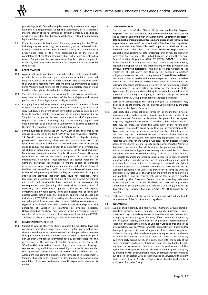proceedings, or (b) failure by Supplier to comply in any material respect with the HSE requirements under this Agreement, or (c) Supplier's material breach of the Agreement, or (d) when Company is entitled to, or when it is evident that Company will become entitled to, maximum liquidated damages.

9.5 If the Agreement is terminated, Company may require the Work, including any corresponding documentation, to be delivered in its existing condition at the time of termination against payment of a proportional share of the Price corresponding to the state of completeness of the Work. Company shall furthermore be entitled to replace Supplier and to take over from Supplier rights, equipment, materials, and other items necessary for completion of the Work by third parties.

#### <span id="page-3-0"></span>**10 FORCE MAJEURE**

- 10.1 A party shall not be considered to be in breach of the Agreement to the extent it is proven that such party was unable to fulfil its contractual obligation due to an event of Force Majeure. The parties shall cover their own costs resulting from Force Majeure. A party wishing to invoke Force Majeure must notify the other party immediately thereof, if not it will lose the right to claim that Force Majeure has occurred.
- 10.2 The affected party must use reasonable endeavours to mitigate, overcome or minimise the effects of the Force Majeure and resume performance of its obligations as quickly as possible.
- 10.3 Company is entitled to terminate the Agreement if the event of Force Majeure continues, or it is obvious that it will continue, for more than sixty (60) days. In the event of such termination Company's sole liability towards Supplier shall be the payment of the unpaid balance due to Supplier for that part of the Work already performed. Company may require the Work, including any corresponding rights and documentation, to be delivered to Company in its existing condition at the time of termination for completion by third parties.
- 10.4 For the purposes of this Claus[e 10](#page-3-0): "**COVID-19**" means the coronavirus disease 2019 caused by the SARS-CoV-2 virus and its variants; "**COVID-19 Event**" means an outbreak of COVID-19 or legally binding government precautions, directives or moratoriums (such as quarantine, isolation, lockdowns and related public health measures) made to reduce the spread of COVID-19 nationally or internationally. which has an actual impact on the performance of the Work including by reason of: (a) requirement on Supplier Group or Company Group to quarantine or isolate personnel, equipment or materials; (b) international, national or local lockdown of Supplier Personnel or Company personnel; (c) inability to import, export or transport necessary personnel, equipment or materials; and (d) shut down of facilities that can perform the Work; and "**Force Majeure**" means any of the following events provided it is beyond the control of the party affected and provided that such party could not reasonably have foreseen such occurrence at the time of entering into the Agreement and could not reasonably have avoided it or overcome its consequences: War (including civil war), riots, invasion, acts of terrorism, civil disturbance, piracy, sabotage or embargoes, contamination by radioactivity from any nuclear fuel or from any nuclear waste, acts of God, fire, explosion, epidemic (which shall not include any COVID-19 Event) or earthquake, hurricane or other similar natural physical disaster, any strikes or industrial disputes at a national, regional or local level other than a strike or industrial dispute of the personnel of Supplier, or maritime or aviation disasters. Notwithstanding the above, any event involving a previous or existing condition at or before the date of this Agreement (including a COVID-19 Event) shall not, at any time, constitute Force Majeure

#### <span id="page-3-1"></span>**11 CONFIDENTIALITY / SECRECY**

11.1 Subject to what is otherwise strictly required by mandatory laws and regulations or stock exchange requirements, neither party shall at any time without the prior written consent of the other party disclose to any third party any Confidential Information belonging to the other party nor use such Confidential Information for any purpose except for the performance of this Agreement. For the purposes of this Clause [11,](#page-3-1) "**Confidential Information**" means logs, data, designs, drawings, reports, records, and information pertaining to the performance under this Agreement, inventions and all terms and conditions of this Agreement (including the existence and contents of this Agreement). Supplier shall return to Company all Confidential Information upon completion of the Work or termination of the Agreement, whichever is earlier.

#### <span id="page-3-2"></span>**12 DATA PROTECTION**

- 12.1 For the purpose of this Clause [12](#page-3-2) (where applicable): "**Agreed Purposes**": Personal data should only be collected where necessary for the purpose of complying with this Agreement; "**Controller, processor, data subject, personal data, processing and appropriate technical and organisational measures**": as set out in the Data Protection Legislation in force at the time; "**Data Discloser**": a party that discloses Shared Personal Data to the other party; "**Data Protection Legislation**": all applicable laws relating to data protection and privacy legislation in force from time to time in the United Kingdom including the General Data Protection Regulation ((EU) 2016/679) ("**GDPR**"), the Data Protection Act 2018 or any successor legislation and any other directly applicable European Union regulation relating to data protection and privacy; "**Permitted Recipients**": the parties to this Agreement, the employees of each party, any third parties engaged to perform obligations in connection with this Agreement; "**Shared Personal Data**": the personal data to be shared between the parties as data controllers under Clause [12.2.](#page-3-3) Shared Personal Data shall be confined to the following categories of information relevant to the following categories of data subject: (a) information necessary for the purpose of this Agreement; (b) personal data relating to Supplier Personnel; and (c) personal data relating to Company, its Affiliates and (if the context permits) Company Group personnel or associated personnel.
- <span id="page-3-3"></span>12.2 Each party acknowledges that one party (the Data Discloser) may disclose to the other party Shared Personal Data collected by the Data Discloser for the Agreed Purposes.
- 12.3 Each party shall, when acting as controller (a) ensure that it has all necessary notices and consents in place to enable lawful transfer of the Shared Personal Data to the Permitted Recipients for the Agreed Purposes; (b) give full information to any data subject whose personal data may be processed under this Agreement of the nature such processing. This includes giving notice that, on the termination of this Agreement, personal data relating to them may be retained by or, as the case may be, transferred to one or more of the Permitted Recipients, their successors and assignees; (c) process the Shared Personal Data only for the Agreed Purposes; (d) not disclose or allow access to the Shared Personal Data to anyone other than the Permitted Recipients; (e) ensure that all Permitted Recipients are subject to written contractual obligations concerning the Shared Personal Data (including obligations of confidentiality); (f) ensure that it has in place appropriate technical and organisational measures to protect against unauthorised or unlawful processing of personal data and against accidental loss or destruction of, or damage to, personal data; (g) not transfer any personal data received from the Data Discloser outside the European Economic Area unless the transferor: (i) complies with the provisions of Articles 26 of the GDPR (in the event the third party is a joint controller); and (ii) ensures that: (A) the transfer is to a country approved by the European Commission as providing adequate protection pursuant to Article 45 GDPR; (B) there are appropriate safeguards in place pursuant to Article 46 GDPR; or (C) one of the derogations for specific situations in Article 49 GDPR applies to the transfer.
- 12.4 Each party shall assist the other in complying with all applicable requirements of the Data Protection Legislation.

#### **13 INDEMNITIES**

<span id="page-3-4"></span>13.1 Supplier shall indemnify and hold harmless Company Group against all liabilities, actions, claims, damages, demands, judgments, costs, charges and expenses arising from or incurred by reason of (a) any claim brought against Company, its directors, officers, servants or agents by any of Supplier Group, their insurers or personal representatives in respect of the negligence of any of Company Group and/or due to the unseaworthiness of any Vessel for death, personal injury, illness and/or damage to property; (b) any infringement of any patents, registered trademarks or any other intellectual property rights caused by the use or sale of the Goods or Services; (c) any claim made against Company by a third party arising out of, or in connection with, the supply of the Goods or Services, to the extent that such claim arises out of the breach, negligent performance or failure or delay in performance of this Agreement by Supplier Group; and (d) any claim made against Company by a third party for death, personal injury or damage to property arising out of, or in connection with, defective Goods or Services, to the extent that the defect in the Goods or Services is attributable to the acts or omissions of Supplier Group.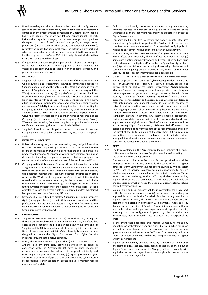- <span id="page-4-0"></span>13.2 Notwithstanding any other provisions to the contrary in the Agreement (save and except to the extent of any agreed liquidated and ascertained damages or any predetermined compensation), neither party shall be liable, one against the other for (a) any consequential, indirect, incidental or special damages, or (b) any exemplary or punitive damages, or (c) loss of profit or anticipated profit, earnings, use or production (in each case whether direct, consequential or indirect), regardless of cause (including negligence) or default on any part and whether foreseeable or not at the time of entering into the Agreement. For the purposes of this Claus[e 13.2,](#page-4-0) third party claims included within Claus[e 13.1](#page-3-4) constitute direct losses.
- 13.3 If required by Company, Supplier's personnel shall sign a visitor's pass before being allowed on to Company premises, which includes any Vessel, real property owned or leased by or on behalf of Company and premises where space is taken.

## <span id="page-4-1"></span>**14 INSURANCE**

- 14.1 Supplier shall maintain throughout the duration of the Work: insurance with reputable and creditworthy insurance companies adapted to Supplier's operations and the nature of the Work (including in respect of any of Supplier's personnel or sub-contractors carrying out the Work), adequately covering: (i) Supplier's obligations and liabilities under the Agreement;(ii) under all applicable laws and regulations; and (iii) in accordance with good industry practice, including as a minimum: all-risk insurances, liability insurances and workmen's compensation and employers' liability insurances. If required by notice in writing by Company, Supplier shall ensure that Company shall be named as an additional insured in such insurance policies and that Supplier's insurers waive their right of subrogation and other rights of recourse against Company (or, if required by Company, against Company Group). Whenever requested by Company, Supplier shall provide an insurance certificate documenting that such condition is fulfilled.
- 14.2 Supplier's breach of its obligations under this Clause [14](#page-4-1) entitles Company inter alia to take out the necessary insurance at Supplier's costs.

#### **15 INTELLECTUAL PROPERTY**

- 15.1 Unless otherwise agreed, any documentation, data, design information or other materials supplied by Company to Supplier as well as the results of the Work as and when it is performed are and remain the sole property of Company. All reports, drawings, specifications, and similar documents, including computer program(s), that are prepared in connection with the Work, constitute part of the results of the Work.
- 15.2 Company and its Affiliates (and Company Group, if the context permits) are granted an irrevocable, worldwide, royalty free and non-exclusive right to the use of those rights which are necessary for the completion, use, operation, maintenance, repair, modification, and inspection of the results of the Work, or of the product or Goods to which the Work is related and/or to the extent necessary for the purposes for which the Goods were procured. The same right shall apply in respect of any future owner(s) or operators of the Vessel on which the Work is utilized or installed in case the Vessel is sold or is operated and/or maintained by a person other than a Company Affiliate.
- 15.3 Company shall be entitled to disclose Supplier's intellectual property rights (or any part thereof) to their Affiliates, any co-venturer, and the professional advisors and contractors of any of the foregoing to the extent necessary for the purposes of Agreement (and to Company Group, if required by Company).

### <span id="page-4-5"></span>**16 CYBERSECURITY**

- <span id="page-4-2"></span>16.1 Supplier represents and warrants that: (a) the Product shall, throughout the Relevant Period, be free from any vulnerabilities and/or defects that exposes the Product to the risk of a Cyber Security Incident; and (b) Supplier and its Affiliates shall (and shall cause any third party (of any tier) to) implement and maintain Cyber Security Measures that are designed to protect the Digital Environment from Cyber Security Incidents throughout the Relevant Period.
- <span id="page-4-3"></span>16.2 During the Relevant Period, Supplier shall (and shall procure that its Affiliates and any third party providing services on its behalf in connection with the Agreement): (a) have in place reasonably appropriate procedures that allow it to respond efficiently and effectively to a Cyber Security Incident; (b) regularly review its Cyber Security Measures to verify: (i) that they comply with the Cyber Security Standards; and (ii) their application in practice; and (c) maintain records evidencing (a) and (b).
- Each party shall notify the other in advance of any maintenance, software updates or hardware and equipment installations to be undertaken by them that might reasonably be expected to affect the Digital Environment.
- 16.4 Company shall be entitled to review the Cyber Security Measures maintained by Supplier in respect of the Product, including any onpremises inspections and evaluations. Company shall notify Supplier in writing at least seven (7) days prior to the start of such a review.
- <span id="page-4-4"></span>16.5 If, at any time, Supplier becomes aware of a Cyber Security Incident which affects or is reasonably likely to affect the Product, it shall (a) immediately notify Company by phone and email; (b) immediately use best endeavours to mitigate and/or resolve the Cyber Security Incident; and (c) provide any information, including all access logs, that may assist Company in mitigating and/or preventing any effects of the Cyber Security Incident, as such information becomes available.
- 16.6 Clause[s 16.1,](#page-4-2) [16.2](#page-4-3) an[d 16.5](#page-4-4) shall survive termination of this Agreement.
- 16.7 For the purposes of this Claus[e 16](#page-4-5): "**Cyber Security Incident**" means the loss or unauthorised destruction, alteration, disclosure, access to or control of all or part of the Digital Environment; "**Cyber Security Measures**" means technologies, procedures, policies, controls, cyber risk management programs and trainings that are in line with Cyber Security Standards; "**Cyber Security Standards**" means codes, guidelines (from regulatory and advisory bodies, whether mandatory or not), international and national standards relating to security of network and information systems and security breach and incident reporting requirements, all as amended or updated from time to time; "**Digital Environment**" means the operational or information technology systems, networks, any internet-enabled applications, devices and/or data contained within such systems and networks and any other related digital system; "**Product**" means the Goods and the accompanying Digital Environment; "**Relevant Period**" means that period beginning on and from the date of the Agreement and ending on the latest of the: (i) termination of the Agreement; (ii) expiry of any warranties provided in respect of the Product; or (iii) period contained in any additional service and/or maintenance agreement(s) executed between the Parties in relation to the Product.

## **17 TAXES**

- 17.1 The Price contained in the Agreement is deemed inclusive of all taxes, duties, costs, and other charges of Supplier, save for VAT, resulting from the performance of the Agreement.
- 17.2 Company expects that most Goods and Services provided to it will be exempted from, zero rated, or outside the scope of, VAT. Supplier agrees to inform Company in advance before issuing any invoice subject to VAT, and to provide Company with an opportunity to confirm whether any such invoice should in fact be subject to such tax. To the extent that the parties agree that VAT is applicable to any invoice, Supplier shall ensure that any invoice issued shows the applicable tax and any other information needed to enable Company to claim a refund or input credit for such tax.
- 17.3 Supplier shall, and shall procure that its sub-contractors shall, in respect of this Agreement be responsible for (a) the payment of all and any tax imposed by a tax authority for which Supplier or any member of Supplier Group is liable, (b) making all appropriate deductions on account of tax arising in connection with payments made to or by Supplier or any member of Supplier Group, (c) compliance with any applicable customs and import and export/re-export regulations, and (d) ensuring that the obligations imposed by this provision are incorporated, mutatis mutandis, into its subcontracts in respect of the Work.
- 17.4 In the event that applicable laws require Company to make any deduction or withholding from any sums due to Supplier for or on account of any taxes, levies, assessments or charges of any governmental authorities, save for VAT, then Company may deduct or set off such deduction or withholding with any payment due to Supplier under this Agreement.
- Supplier shall indemnify and hold Company harmless from and against any claim, liability, expense, costs, penalty caused by or arising out of Supplier's (or any member of its Group's) failure to comply with applicable tax laws and regulations and any applicable customs, import and export laws and regulations.